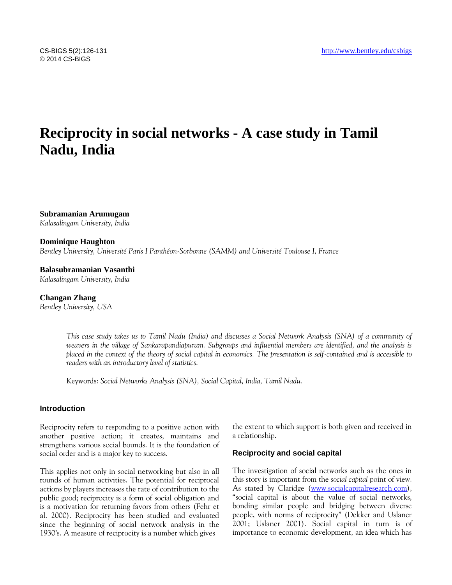# **Reciprocity in social networks - A case study in Tamil Nadu, India**

**Subramanian Arumugam** *Kalasalingam University, India*

#### **Dominique Haughton**

*Bentley University, Université Paris I Panthéon-Sorbonne (SAMM) and Université Toulouse I, France*

**Balasubramanian Vasanthi**

*Kalasalingam University, India*

**Changan Zhang** *Bentley University, USA*

> *This case study takes us to Tamil Nadu (India) and discusses a Social Network Analysis (SNA) of a community of* weavers in the village of Sankarapandiapuram. Subgroups and influential members are identified, and the analysis is *placed in the context of the theory of social capital in economics. The presentation is self-contained and is accessible to readers with an introductory level of statistics.*

Keywords: *Social Networks Analysis (SNA), Social Capital, India, Tamil Nadu.*

# **Introduction**

Reciprocity refers to responding to a positive action with another positive action; it creates, maintains and strengthens various social bounds. It is the foundation of social order and is a major key to success.

This applies not only in social networking but also in all rounds of human activities. The potential for reciprocal actions by players increases the rate of contribution to the public good; reciprocity is a form of social obligation and is a motivation for returning favors from others (Fehr et al. 2000). Reciprocity has been studied and evaluated since the beginning of social network analysis in the 1930's. A measure of reciprocity is a number which gives

the extent to which support is both given and received in a relationship.

# **Reciprocity and social capital**

The investigation of social networks such as the ones in this story is important from the *social capital* point of view. As stated by Claridge [\(www.socialcapitalresearch.com\)](http://www.socialcapitalresearch.com/), "social capital is about the value of social networks, bonding similar people and bridging between diverse people, with norms of reciprocity" (Dekker and Uslaner 2001; Uslaner 2001). Social capital in turn is of importance to economic development, an idea which has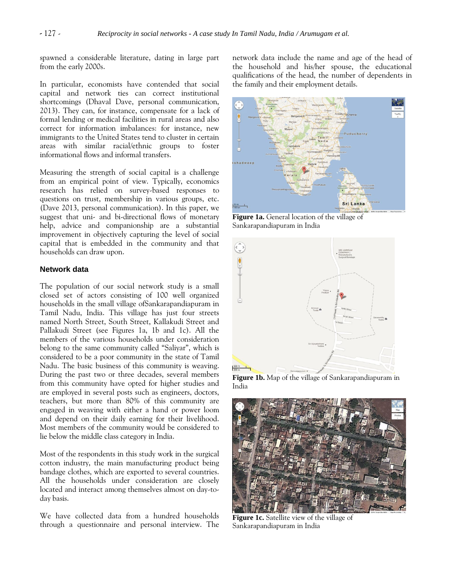spawned a considerable literature, dating in large part from the early 2000s.

In particular, economists have contended that social capital and network ties can correct institutional shortcomings (Dhaval Dave, personal communication, 2013). They can, for instance, compensate for a lack of formal lending or medical facilities in rural areas and also correct for information imbalances: for instance, new immigrants to the United States tend to cluster in certain areas with similar racial/ethnic groups to foster informational flows and informal transfers.

Measuring the strength of social capital is a challenge from an empirical point of view. Typically, economics research has relied on survey-based responses to questions on trust, membership in various groups, etc. (Dave 2013, personal communication). In this paper, we suggest that uni- and bi-directional flows of monetary help, advice and companionship are a substantial improvement in objectively capturing the level of social capital that is embedded in the community and that households can draw upon.

#### **Network data**

The population of our social network study is a small closed set of actors consisting of 100 well organized households in the small village ofSankarapandiapuram in Tamil Nadu, India. This village has just four streets named North Street, South Street, Kallakudi Street and Pallakudi Street (see Figures 1a, 1b and 1c). All the members of the various households under consideration belong to the same community called "Saliyar", which is considered to be a poor community in the state of Tamil Nadu. The basic business of this community is weaving. During the past two or three decades, several members from this community have opted for higher studies and are employed in several posts such as engineers, doctors, teachers, but more than 80% of this community are engaged in weaving with either a hand or power loom and depend on their daily earning for their livelihood. Most members of the community would be considered to lie below the middle class category in India.

Most of the respondents in this study work in the surgical cotton industry, the main manufacturing product being bandage clothes, which are exported to several countries. All the households under consideration are closely located and interact among themselves almost on day-today basis.

We have collected data from a hundred households through a questionnaire and personal interview. The network data include the name and age of the head of the household and his/her spouse, the educational qualifications of the head, the number of dependents in the family and their employment details.



**Figure 1a.** General location of the village of Sankarapandiapuram in India



**Figure 1b.** Map of the village of Sankarapandiapuram in India



**Figure 1c.** Satellite view of the village of Sankarapandiapuram in India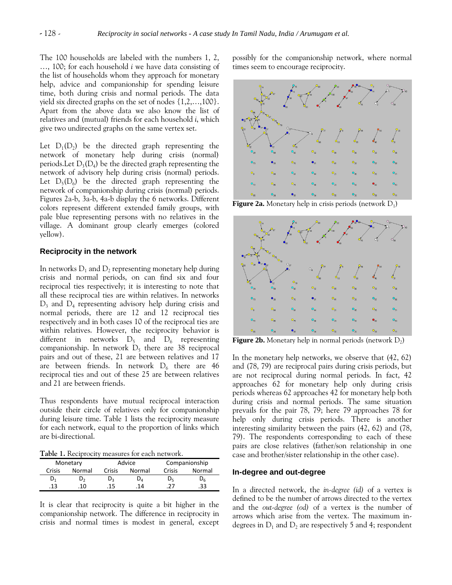The 100 households are labeled with the numbers 1, 2, …, 100; for each household *i* we have data consisting of the list of households whom they approach for monetary help, advice and companionship for spending leisure time, both during crisis and normal periods. The data yield six directed graphs on the set of nodes {1,2,…,100}. Apart from the above data we also know the list of relatives and (mutual) friends for each household *i*, which give two undirected graphs on the same vertex set.

Let  $D_1(D_2)$  be the directed graph representing the network of monetary help during crisis (normal) periods.Let  $D_3(D_4)$  be the directed graph representing the network of advisory help during crisis (normal) periods. Let  $D_5(D_6)$  be the directed graph representing the network of companionship during crisis (normal) periods. Figures 2a-b, 3a-b, 4a-b display the 6 networks. Different colors represent different extended family groups, with pale blue representing persons with no relatives in the village. A dominant group clearly emerges (colored yellow).

#### **Reciprocity in the network**

In networks  $D_1$  and  $D_2$  representing monetary help during crisis and normal periods, on can find six and four reciprocal ties respectively; it is interesting to note that all these reciprocal ties are within relatives. In networks D<sup>3</sup> and D<sup>4</sup> representing advisory help during crisis and normal periods, there are 12 and 12 reciprocal ties respectively and in both cases 10 of the reciprocal ties are within relatives. However, the reciprocity behavior is different in networks  $D_5$  and  $D_6$  representing companionship. In network  $D_5$  there are 38 reciprocal pairs and out of these, 21 are between relatives and 17 are between friends. In network  $D_6$  there are 46 reciprocal ties and out of these 25 are between relatives and 21 are between friends.

Thus respondents have mutual reciprocal interaction outside their circle of relatives only for companionship during leisure time. Table 1 lists the reciprocity measure for each network, equal to the proportion of links which are bi-directional.

**Table 1.** Reciprocity measures for each network.

| Monetary |        | Advice |         | Companionship |                |
|----------|--------|--------|---------|---------------|----------------|
| Crisis   | Normal | Crisis | Normal  | Crisis        | Normal         |
| $D_1$    | D,     | D,     | $D_{A}$ | Dς            | υ <sub>6</sub> |
| .13      | 10.    | 15     | 14      |               | 33             |

It is clear that reciprocity is quite a bit higher in the companionship network. The difference in reciprocity in crisis and normal times is modest in general, except possibly for the companionship network, where normal times seem to encourage reciprocity.



**Figure 2a.** Monetary help in crisis periods (network  $D_1$ )



**Figure 2b.** Monetary help in normal periods (network  $D_2$ )

In the monetary help networks, we observe that (42, 62) and (78, 79) are reciprocal pairs during crisis periods, but are not reciprocal during normal periods. In fact, 42 approaches 62 for monetary help only during crisis periods whereas 62 approaches 42 for monetary help both during crisis and normal periods. The same situation prevails for the pair 78, 79; here 79 approaches 78 for help only during crisis periods. There is another interesting similarity between the pairs (42, 62) and (78, 79). The respondents corresponding to each of these pairs are close relatives (father/son relationship in one case and brother/sister relationship in the other case).

#### **In-degree and out-degree**

In a directed network, the *in-degree (id)* of a vertex is defined to be the number of arrows directed to the vertex and the *out-degree (od)* of a vertex is the number of arrows which arise from the vertex. The maximum indegrees in  $D_1$  and  $D_2$  are respectively 5 and 4; respondent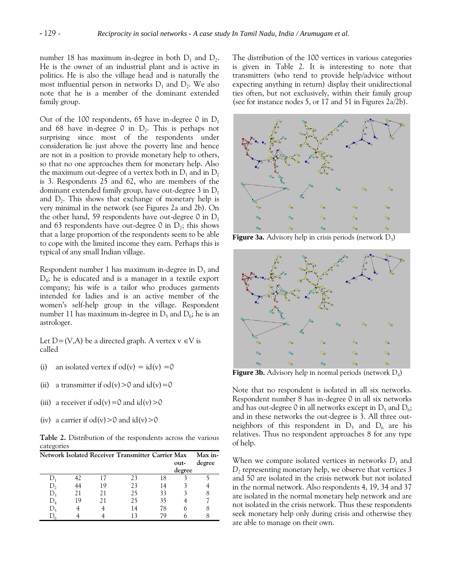number 18 has maximum in-degree in both  $D_1$  and  $D_2$ . He is the owner of an industrial plant and is active in politics. He is also the village head and is naturally the most influential person in networks  $D_1$  and  $D_2$ . We also note that he is a member of the dominant extended family group.

Out of the 100 respondents, 65 have in-degree 0 in  $D_1$ and 68 have in-degree  $0$  in  $D_2$ . This is perhaps not surprising since most of the respondents under consideration lie just above the poverty line and hence are not in a position to provide monetary help to others, so that no one approaches them for monetary help. Also the maximum out-degree of a vertex both in  $D_1$  and in  $D_2$ is 3. Respondents 25 and 62, who are members of the dominant extended family group, have out-degree 3 in  $D_1$ and  $D_2$ . This shows that exchange of monetary help is very minimal in the network (see Figures 2a and 2b). On the other hand, 59 respondents have out-degree 0 in  $D_1$ and 63 respondents have out-degree 0 in  $D_2$ ; this shows that a large proportion of the respondents seem to be able to cope with the limited income they earn. Perhaps this is typical of any small Indian village.

Respondent number 1 has maximum in-degree in  $D_3$  and D4 ; he is educated and is a manager in a textile export company; his wife is a tailor who produces garments intended for ladies and is an active member of the women's self-help group in the village. Respondent number 11 has maximum in-degree in  $\mathrm{D}_5$  and  $\mathrm{D}_6$ ; he is an astrologer.

Let  $D=(V,A)$  be a directed graph. A vertex  $v \in V$  is called

- (i) an isolated vertex if  $od(v) = id(v) = 0$
- (ii) a transmitter if  $od(v) > 0$  and  $id(v) = 0$
- (iii) a receiver if  $od(v)=0$  and  $id(v)>0$
- (iv) a carrier if  $od(v) > 0$  and  $id(v) > 0$

**Table 2.** Distribution of the respondents across the various categories

|    |    | Network Isolated Receiver Transmitter Carrier Max |    |        | Max in- |
|----|----|---------------------------------------------------|----|--------|---------|
|    |    |                                                   |    | out-   | degree  |
|    |    |                                                   |    | degree |         |
|    |    | 73                                                | 18 |        |         |
|    | 19 | 23                                                |    |        |         |
| 21 | 21 | 75                                                | 33 |        | 8       |
| 19 | 21 | 75                                                | 35 |        |         |
|    |    |                                                   | 78 |        |         |
|    |    |                                                   |    |        |         |

The distribution of the 100 vertices in various categories is given in Table 2. It is interesting to note that transmitters (who tend to provide help/advice without expecting anything in return) display their unidirectional ties often, but not exclusively, within their family group (see for instance nodes 5, or 17 and 51 in Figures 2a/2b).



**Figure 3a.** Advisory help in crisis periods (network D<sub>3</sub>)



**Figure 3b.** Advisory help in normal periods (network D<sub>4</sub>)

Note that no respondent is isolated in all six networks. Respondent number 8 has in-degree 0 in all six networks and has out-degree 0 in all networks except in  $D_5$  and  $D_6$ ; and in these networks the out-degree is 3. All three outneighbors of this respondent in  $D_5$  and  $D_6$  are his relatives. Thus no respondent approaches 8 for any type of help.

When we compare isolated vertices in networks  $D_1$  and *D*2 representing monetary help, we observe that vertices 3 and 50 are isolated in the crisis network but not isolated in the normal network. Also respondents 4, 19, 34 and 37 are isolated in the normal monetary help network and are not isolated in the crisis network. Thus these respondents seek monetary help only during crisis and otherwise they are able to manage on their own.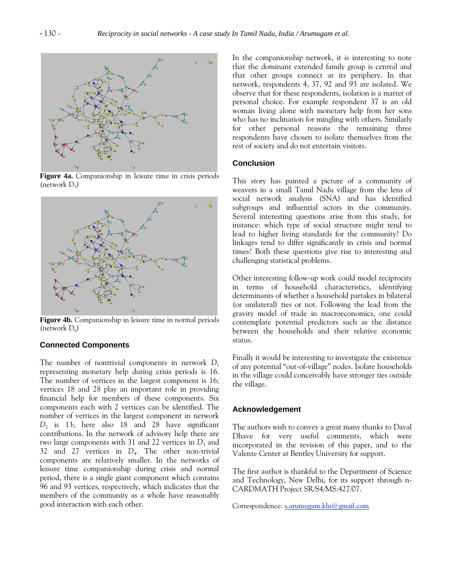

**Figure 4a.** Companionship in leisure time in crisis periods (network  $D_5$ )



**Figure 4b.** Companionship in leisure time in normal periods (network  $D_6$ )

# **Connected Components**

The number of nontrivial components in network  $D_1$ representing monetary help during crisis periods is 16. The number of vertices in the largest component is 16; vertices 18 and 28 play an important role in providing financial help for members of these components. Six components each with 2 vertices can be identified. The number of vertices in the largest component in network *D*2 is 13; here also 18 and 28 have significant contributions. In the network of advisory help there are two large components with 31 and 22 vertices in  $D_3$  and 32 and 27 vertices in *D*<sup>4</sup> . The other non-trivial components are relatively smaller. In the networks of leisure time companionship during crisis and normal period, there is a single giant component which contains 96 and 93 vertices, respectively, which indicates that the members of the community as a whole have reasonably good interaction with each other.

In the companionship network, it is interesting to note that the dominant extended family group is central and that other groups connect at its periphery. In that network, respondents 4, 37, 92 and 93 are isolated. We observe that for these respondents, isolation is a matter of personal choice. For example respondent 37 is an old woman living alone with monetary help from her sons who has no inclination for mingling with others. Similarly for other personal reasons the remaining three respondents have chosen to isolate themselves from the rest of society and do not entertain visitors.

#### **Conclusion**

This story has painted a picture of a community of weavers in a small Tamil Nadu village from the lens of social network analysis (SNA) and has identified subgroups and influential actors in the community. Several interesting questions arise from this study, for instance: which type of social structure might tend to lead to higher living standards for the community? Do linkages tend to differ significantly in crisis and normal times? Both these questions give rise to interesting and challenging statistical problems.

Other interesting follow-up work could model reciprocity in terms of household characteristics, identifying determinants of whether a household partakes in bilateral (or unilateral) ties or not. Following the lead from the gravity model of trade in macroeconomics, one could contemplate potential predictors such as the distance between the households and their relative economic status.

Finally it would be interesting to investigate the existence of any potential "out-of-village" nodes. Isolate households in the village could conceivably have stronger ties outside the village.

#### **Acknowledgement**

The authors wish to convey a great many thanks to Daval Dhave for very useful comments, which were incorporated in the revision of this paper, and to the Valente Center at Bentley University for support.

The first author is thankful to the Department of Science and Technology, New Delhi, for its support through n-CARDMATH Project SR/S4/MS:427/07.

Correspondence: [s.arumugam.klu@gmail.com](mailto:s.arumugam.klu@gmail.com)